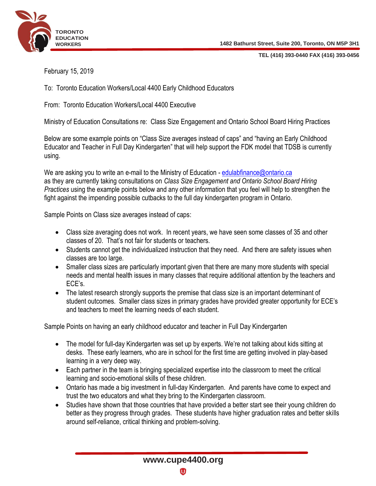

**TEL (416) 393-0440 FAX (416) 393-0456**

February 15, 2019

To: Toronto Education Workers/Local 4400 Early Childhood Educators

From: Toronto Education Workers/Local 4400 Executive

Ministry of Education Consultations re: Class Size Engagement and Ontario School Board Hiring Practices

Below are some example points on "Class Size averages instead of caps" and "having an Early Childhood Educator and Teacher in Full Day Kindergarten" that will help support the FDK model that TDSB is currently using.

We are asking you to write an e-mail to the Ministry of Education - [edulabfinance@ontario.ca](mailto:edulabfinance@ontario.ca) as they are currently taking consultations on *Class Size Engagement and Ontario School Board Hiring Practices* using the example points below and any other information that you feel will help to strengthen the fight against the impending possible cutbacks to the full day kindergarten program in Ontario.

Sample Points on Class size averages instead of caps:

- Class size averaging does not work. In recent years, we have seen some classes of 35 and other classes of 20. That's not fair for students or teachers.
- Students cannot get the individualized instruction that they need. And there are safety issues when classes are too large.
- Smaller class sizes are particularly important given that there are many more students with special needs and mental health issues in many classes that require additional attention by the teachers and ECE's.
- The latest research strongly supports the premise that class size is an important determinant of student outcomes. Smaller class sizes in primary grades have provided greater opportunity for ECE's and teachers to meet the learning needs of each student.

Sample Points on having an early childhood educator and teacher in Full Day Kindergarten

- The model for full-day Kindergarten was set up by experts. We're not talking about kids sitting at desks. These early learners, who are in school for the first time are getting involved in play-based learning in a very deep way.
- Each partner in the team is bringing specialized expertise into the classroom to meet the critical learning and socio-emotional skills of these children.
- Ontario has made a big investment in full-day Kindergarten. And parents have come to expect and trust the two educators and what they bring to the Kindergarten classroom.
- Studies have shown that those countries that have provided a better start see their young children do better as they progress through grades. These students have higher graduation rates and better skills around self-reliance, critical thinking and problem-solving.